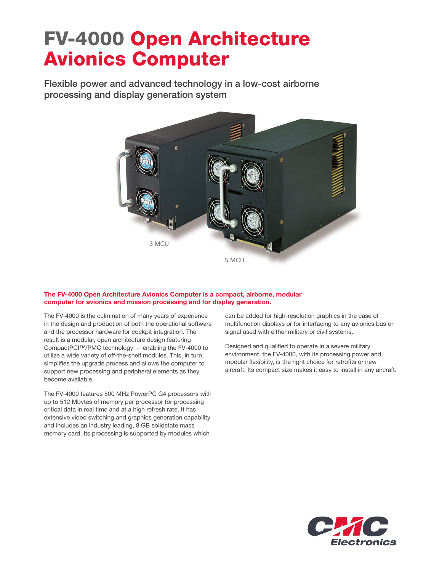## FV-4000 Open Architecture Avionics Computer

Flexible power and advanced technology in a low-cost airborne processing and display generation system



## The FV-4000 Open Architecture Avionics Computer is a compact, airborne, modular computer for avionics and mission processing and for display generation.

The FV-4000 is the culmination of many years of experience in the design and production of both the operational software and the processor hardware for cockpit integration. The result is a modular, open architecture design featuring CompactPCI™/PMC technology — enabling the FV-4000 to utilize a wide variety of off-the-shelf modules. This, in turn, simplifies the upgrade process and allows the computer to support new processing and peripheral elements as they become available.

The FV-4000 features 500 MHz PowerPC G4 processors with up to 512 Mbytes of memory per processor for processing critical data in real time and at a high refresh rate. It has extensive video switching and graphics generation capability and includes an industry leading, 8 GB solidstate mass memory card. Its processing is supported by modules which

can be added for high-resolution graphics in the case of multifunction displays or for interfacing to any avionics bus or signal used with either military or civil systems.

Designed and qualified to operate in a severe military environment, the FV-4000, with its processing power and modular flexibility, is the right choice for retrofits or new aircraft. Its compact size makes it easy to install in any aircraft.